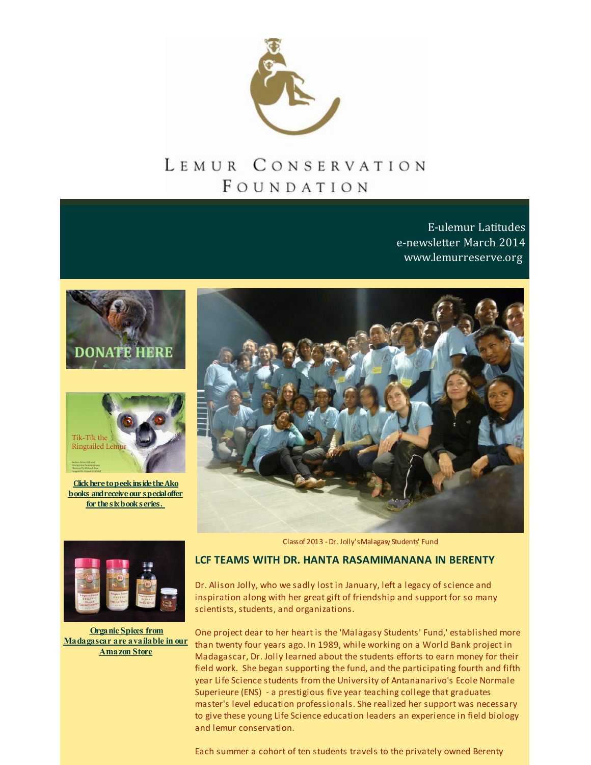

# LEMUR CONSERVATION FOUNDATION

E-ulemur Latitudes e-newsletter March 2014 [www.lemurreserve.org](http://www.lemurreserve.org)





**Click here to peek inside the Ako books** and receive our **special offer for thesixbookseries.**





**Organic Spices from [Madagascar](http://r20.rs6.net/tn.jsp?f=001pL-tXUVRW4aSfxc9qxvqKZUff5VTNYCzI_RK3RUQhx_mFMAPALiUmJsERGmqTH23uFRmv_pApcGggbtdMMDXwy6LGqBt2m9devXAt2YZnWkr7slWEyL69Z516Cpq4PefY3Jh8MMY1tU__h2qx4fRaPNKgCE_t0JD1HqK1WscdUnpnSOFBdCe2epAukENN9uC&c=&ch=) are available in our Amazon Store**

Classof 2013 -Dr. Jolly'sMalagasy Students' Fund

### **LCF TEAMS WITH DR. HANTA RASAMIMANANA IN BERENTY**

Dr. Alison Jolly, who we sadly lost in January, left a legacy of science and inspiration along with her great gift of friendship and support for so many scientists, students, and organizations.

One project dear to her heart is the 'Malagasy Students' Fund,' established more than twenty four years ago. In 1989, while working on a World Bank project in Madagascar, Dr. Jolly learned about the students efforts to earn money for their field work. She began supporting the fund, and the participating fourth and fifth year Life Science students from the University of Antananarivo's Ecole Normale Superieure (ENS) - a prestigious five year teaching college that graduates master's level education professionals. She realized her support was necessary to give these young Life Science education leaders an experience in field biology and lemur conservation.

Each summer a cohort of ten students travels to the privately owned Berenty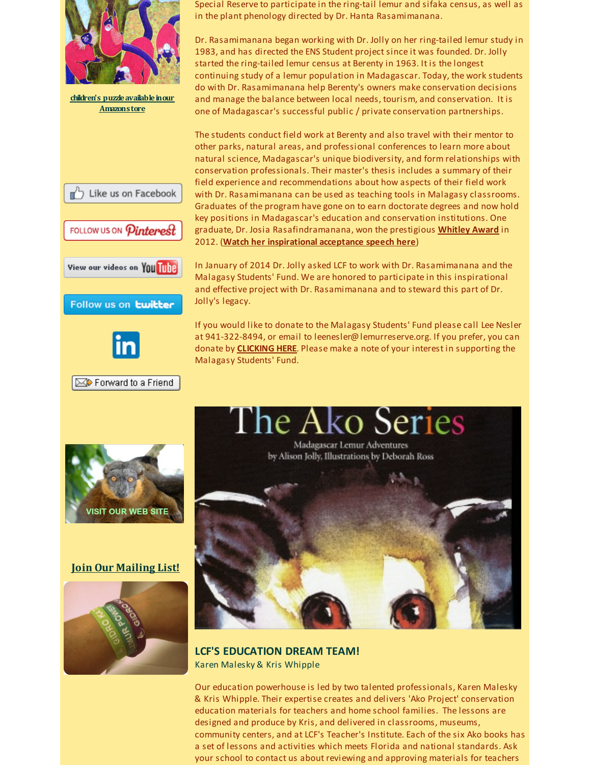

**children's [puzzleavailableinour](http://r20.rs6.net/tn.jsp?f=001pL-tXUVRW4aSfxc9qxvqKZUff5VTNYCzI_RK3RUQhx_mFMAPALiUmJsERGmqTH23uFRmv_pApcGggbtdMMDXwy6LGqBt2m9devXAt2YZnWkr7slWEyL69Z516Cpq4PefY3Jh8MMY1tU__h2qx4fRaPNKgCE_t0JD1HqK1WscdUnpnSOFBdCe2epAukENN9uC&c=&ch=) Amazonstore**



FOLLOW US ON *Pinterest* 







Forward to a Friend

Special Reserve to participate in the ring-tail lemur and sifaka census, as well as in the plant phenology directed by Dr. Hanta Rasamimanana.

Dr. Rasamimanana began working with Dr. Jolly on her ring-tailed lemur study in 1983, and has directed the ENS Student project since it was founded. Dr. Jolly started the ring-tailed lemur census at Berenty in 1963. It is the longest continuing study of a lemur population in Madagascar. Today, the work students do with Dr. Rasamimanana help Berenty's owners make conservation decisions and manage the balance between local needs, tourism, and conservation. It is one of Madagascar's successful public / private conservation partnerships.

The students conduct field work at Berenty and also travel with their mentor to other parks, natural areas, and professional conferences to learn more about natural science, Madagascar's unique biodiversity, and form relationships with conservation professionals. Their master's thesis includes a summary of their field experience and recommendations about how aspects of their field work with Dr. Rasamimanana can be used as teaching tools in Malagasy classrooms. Graduates of the program have gone on to earn doctorate degrees and now hold key positions in Madagascar's education and conservation institutions. One graduate, Dr. Josia Rasafindramanana, won the prestigious **[Whitley](http://r20.rs6.net/tn.jsp?f=001pL-tXUVRW4aSfxc9qxvqKZUff5VTNYCzI_RK3RUQhx_mFMAPALiUmMfiNc6wg__amT-QqhRzW0r8wMPKaPwNDqlkB9eF4bJcJL1p2o-7LlwEj27Q8e_AhRPG0Cjwk9wnjhuMobmODk5zpDCAlnxNf8EXTq5Ts3-f7doflhadP94=&c=&ch=) Award** in 2012. (**Watch her [inspirational](http://r20.rs6.net/tn.jsp?f=001pL-tXUVRW4aSfxc9qxvqKZUff5VTNYCzI_RK3RUQhx_mFMAPALiUmMfiNc6wg__aHVPcTlgYYvxIrPJxzjAQS7e60uFnPxMU5RlCPrPUEoZKKmufPOPFyK2VpJ97q1dBtqis2tZfWl2lAT7PUY06tYYV-RJLi0vuBWTRPAkQg_pUeC6QCpB05g==&c=&ch=) acceptance speech here**)

In January of 2014 Dr. Jolly asked LCF to work with Dr. Rasamimanana and the Malagasy Students' Fund. We are honored to participate in this inspirational and effective project with Dr. Rasamimanana and to steward this part of Dr. Jolly's legacy.

If you would like to donate to the Malagasy Students' Fund please call Lee Nesler at 941-322-8494, or email to leenesler@lemurreserve.org. If you prefer, you can donate by **[CLICKING](http://r20.rs6.net/tn.jsp?f=001pL-tXUVRW4aSfxc9qxvqKZUff5VTNYCzI_RK3RUQhx_mFMAPALiUmApfG7L6OAr6wqFaruEWNxl8SHR-MDT_xsGNDPdvOAEzLKbmXAr1ejO2y-ZpXmEjMDtC3_g4vbclE7qlx4tH77rN-MnVhoDP4q_aEWk3Q8bW63OpGnuHyPu2WyQqXhZMKfv0W3LlQDFl&c=&ch=) HERE**. Please make a note of your interest in supporting the Malagasy Students' Fund.



### **Join Our [Mailing](http://visitor.r20.constantcontact.com/email.jsp?m=1110407556333) List!**





**LCF'S EDUCATION DREAM TEAM!** Karen Malesky & Kris Whipple

Our education powerhouse is led by two talented professionals, Karen Malesky & Kris Whipple. Their expertise creates and delivers 'Ako Project' conservation education materials for teachers and home school families. The lessons are designed and produce by Kris, and delivered in classrooms, museums, community centers, and at LCF's Teacher's Institute. Each of the six Ako books has a set of lessons and activities which meets Florida and national standards. Ask your school to contact us about reviewing and approving materials for teachers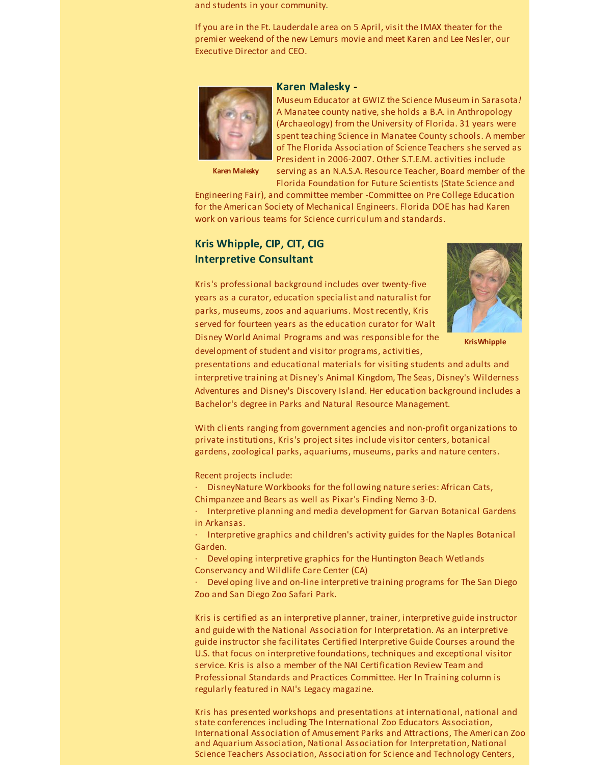and students in your community.

If you are in the Ft. Lauderdale area on 5 April, visit the IMAX theater for the premier weekend of the new Lemurs movie and meet Karen and Lee Nesler, our Executive Director and CEO.



### **Karen Malesky -**

Museum Educator at GWIZ the Science Museum in Sarasota*!* A Manatee county native, she holds a B.A. in Anthropology (Archaeology) from the University of Florida. 31 years were spent teaching Science in Manatee County schools. A member of The Florida Association of Science Teachers she served as President in 2006-2007. Other S.T.E.M. activities include

**Karen Malesky**

serving as an N.A.S.A. Resource Teacher, Board member of the Florida Foundation for Future Scientists (State Science and

Engineering Fair), and committee member -Committee on Pre College Education for the American Society of Mechanical Engineers. Florida DOE has had Karen work on various teams for Science curriculum and standards.

# **Kris Whipple, CIP, CIT, CIG Interpretive Consultant**

Kris's professional background includes over twenty-five years as a curator, education specialist and naturalist for parks, museums, zoos and aquariums. Most recently, Kris served for fourteen years as the education curator for Walt Disney World Animal Programs and was responsible for the development of student and visitor programs, activities,



**KrisWhipple**

presentations and educational materials for visiting students and adults and interpretive training at Disney's Animal Kingdom, The Seas, Disney's Wilderness Adventures and Disney's Discovery Island. Her education background includes a Bachelor's degree in Parks and Natural Resource Management.

With clients ranging from government agencies and non-profit organizations to private institutions, Kris's project sites include visitor centers, botanical gardens, zoological parks, aquariums, museums, parks and nature centers.

Recent projects include:

· DisneyNature Workbooks for the following nature series: African Cats, Chimpanzee and Bears as well as Pixar's Finding Nemo 3-D.

· Interpretive planning and media development for Garvan Botanical Gardens in Arkansas.

Interpretive graphics and children's activity guides for the Naples Botanical Garden.

· Developing interpretive graphics for the Huntington Beach Wetlands Conservancy and Wildlife Care Center (CA)

· Developing live and on-line interpretive training programs for The San Diego Zoo and San Diego Zoo Safari Park.

Kris is certified as an interpretive planner, trainer, interpretive guide instructor and guide with the National Association for Interpretation. As an interpretive guide instructor she facilitates Certified Interpretive Guide Courses around the U.S. that focus on interpretive foundations, techniques and exceptional visitor service. Kris is also a member of the NAI Certification Review Team and Professional Standards and Practices Committee. Her In Training column is regularly featured in NAI's Legacy magazine.

Kris has presented workshops and presentations at international, national and state conferences including The International Zoo Educators Association, International Association of Amusement Parks and Attractions, The American Zoo and Aquarium Association, National Association for Interpretation, National Science Teachers Association, Association for Science and Technology Centers,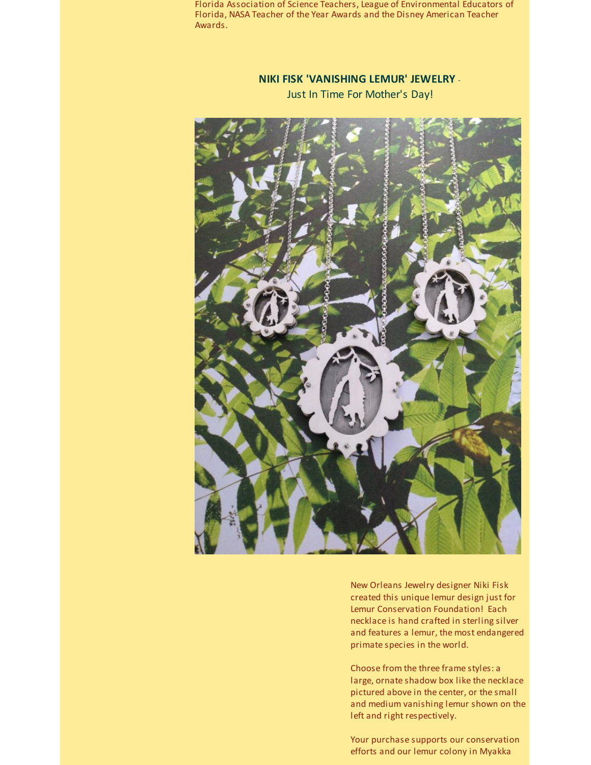Florida Association of Science Teachers, League of Environmental Educators of Florida, NASA Teacher of the Year Awards and the Disney American Teacher Awards.

# **NIKI FISK 'VANISHING LEMUR' JEWELRY** - Just In Time For Mother's Day!



New Orleans Jewelry designer Niki Fisk created this unique lemur design just for Lemur Conservation Foundation! Each necklace is hand crafted in sterling silver and features a lemur, the most endangered primate species in the world.

Choose from the three frame styles: a large, ornate shadow box like the necklace pictured above in the center, or the small and medium vanishing lemur shown on the left and right respectively.

Your purchase supports our conservation efforts and our lemur colony in Myakka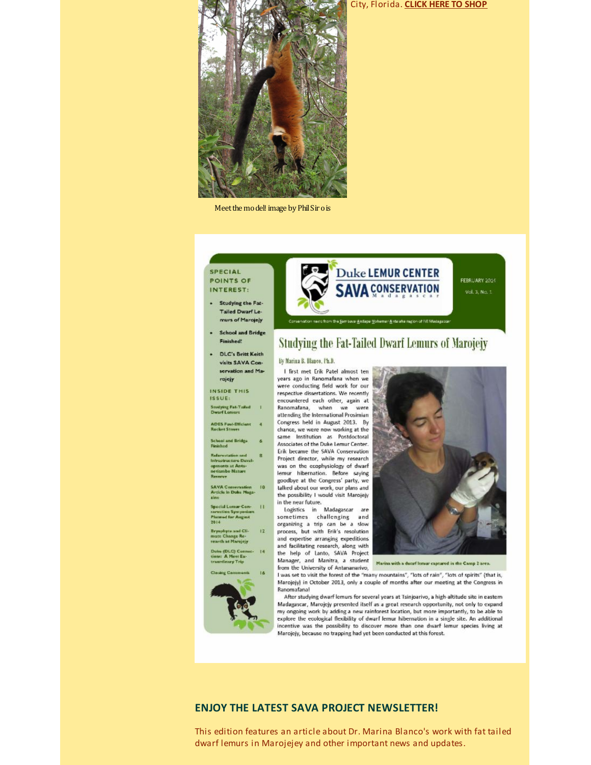

Meet the model! image by Phil Sir o is

#### **SPECIAL** POINTS OF INTEREST:

- · Studying the Fat-Tailed Dwarf Lemurs of Marojeiv
- School and Bridge Finished!
- . DLC's Britt Keith visits SAVA Conservation and Marojejy

#### **INSIDE THIS**

ISSUE: **Studying Fat-Tailed |**<br>Dwarf Lemurs

**ADES Fuel-Efficient**<br>Rocket Stoves  $\overline{4}$ 

**School and Bridge**<br>Finished  $6$ 

**Referentation and**  $\mathbf{R}$ Intrustructure Developments at Anta-<br>netiambo Nature<br>Reserve

**SAVA Conservation**<br>Article in Duke Maga-<br>zine  $10$ 

Special Lemur Con- | | |<br>serentiun Symposium<br>Planned for August<br>2014

Bryophyte and Cli-<br>mate Change Re-<br>search at Marojejy  $12$  $14$ 

ies (DLC) Connec-<br>ns: A Most Ex-<br>ordinary Trip





FEBRUARY 2014 Vol. 3, No. 1

ws from the Sambava-Andape Vohemer-Anteiehe region of NE Medagascer

# Studying the Fat-Tailed Dwarf Lemurs of Marojejy

#### By Marina B. Dlanco, Ph.D.

I first met Erik Patel almost ten years ago in Ranomafana when we were conducting field work for our respective dissertations. We recently encountered each other, again at Ranomafana, when we were attending the International Prosimian Congress held in August 2013. By chance, we were now working at the same Institution as Postdoctoral Associates of the Duke Lemur Center. Erik became the SAVA Conservation Project director, while my research was on the ecophysiology of dwarf lemur hibernation. Before saying goodbye at the Congress' party, we talked about our work, our plans and the possibility I would visit Marojejy in the near future.

Logistics in Madagascar sometimes challenging and organizing a trip can be a slow process, but with Erik's resolution and expertise arranging expeditions and facilitating research, along with the help of Lanto, SAVA Project Manager, and Manitra, a student from the University of Antananarivo,



Marina with a dwarf lemur captured in the Camp 2 are

I was set to visit the forest of the "many mountains", "lots of rain", "lots of spirits" (that is, Marojejy) in October 2013, only a couple of months after our meeting at the Congress in Ranomafanal

After studying dwarf lemurs for several years at Tsinjoarivo, a high-altitude site in eastern Madagascar, Marojejy presented itself as a great research opportunity, not only to expand my ongoing work by adding a new rainforest location, but more importantly, to be able to explore the ecological flexibility of dwarf lemur hibernation in a single site. An additional incentive was the possibility to discover more than one dwarf lemur species living at Marojejy, because no trapping had yet been conducted at this forest.

### **ENJOY THE LATEST SAVA PROJECT NEWSLETTER!**

This edition features an article about Dr. Marina Blanco's work with fat tailed dwarf lemurs in Marojejey and other important news and updates.

#### City, Florida. CLICK HERE TO SHOP